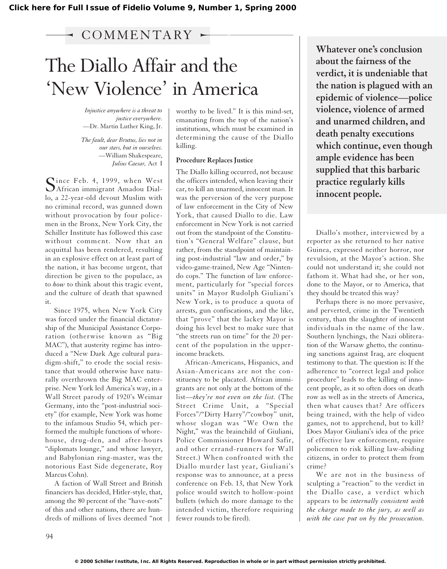# $\sim$  COMMENTARY  $\sim$

# The Diallo Affair and the 'New Violence' in America

*Injustice anywhere is a threat to justice everywhere.* —Dr. Martin Luther King, Jr.

*The fault, dear Brutus, lies not in our stars, but in ourselves.* —William Shakespeare, *Julius Caesar,* Act I

Since Feb. 4, 1999, when West<br>African immigrant Amadou Diallo, a 22-year-old devout Muslim with no criminal record, was gunned down without provocation by four policemen in the Bronx, New York City, the Schiller Institute has followed this case without comment. Now that an acquittal has been rendered, resulting in an explosive effect on at least part of the nation, it has become urgent, that direction be given to the populace, as to *how* to think about this tragic event, and the culture of death that spawned it.

Since 1975, when New York City was forced under the financial dictatorship of the Municipal Assistance Corporation (otherwise known as "Big MAC"), that austerity regime has introduced a "New Dark Age cultural paradigm-shift," to erode the social resistance that would otherwise have naturally overthrown the Big MAC enterprise. New York led America's way, in a Wall Street parody of 1920's Weimar Germany, into the "post-industrial society" (for example, New York was home to the infamous Studio 54, which performed the multiple functions of whorehouse, drug-den, and after-hours "diplomats lounge," and whose lawyer, and Babylonian ring-master, was the notorious East Side degenerate, Roy Marcus Cohn).

A faction of Wall Street and British financiers has decided, Hitler-style, that, among the 80 percent of the "have-nots" of this and other nations, there are hundreds of millions of lives deemed "not

worthy to be lived." It is this mind-set, emanating from the top of the nation's institutions, which must be examined in determining the cause of the Diallo killing.

## **Procedure Replaces Justice**

The Diallo killing occurred, not because the officers intended, when leaving their car, to kill an unarmed, innocent man. It was the perversion of the very purpose of law enforcement in the City of New York, that caused Diallo to die. Law enforcement in New York is not carried out from the standpoint of the Constitution's "General Welfare" clause, but rather, from the standpoint of maintaining post-industrial "law and order," by video-game-trained, New Age "Nintendo cops." The function of law enforcement, particularly for "special forces units" in Mayor Rudolph Giuliani's New York, is to produce a quota of arrests, gun confiscations, and the like, that "prove" that the lackey Mayor is doing his level best to make sure that "the streets run on time" for the 20 percent of the population in the upperincome brackets.

African-Americans, Hispanics, and Asian-Americans are not the constituency to be placated. African immigrants are not only at the bottom of the list—*they're not even on the list.* (The Street Crime Unit, a "Special Forces"/"Dirty Harry"/"cowboy" unit, whose slogan was "We Own the Night," was the brainchild of Giuliani, Police Commissioner Howard Safir, and other errand-runners for Wall Street.) When confronted with the Diallo murder last year, Giuliani's response was to announce, at a press conference on Feb. 13, that New York police would switch to hollow-point bullets (which do more damage to the intended victim, therefore requiring fewer rounds to be fired).

**Whatever one's conclusion about the fairness of the verdict, it is undeniable that the nation is plagued with an epidemic of violence—police violence, violence of armed and unarmed children, and death penalty executions which continue, even though ample evidence has been supplied that this barbaric practice regularly kills innocent people.** 

Diallo's mother, interviewed by a reporter as she returned to her native Guinea, expressed neither horror, nor revulsion, at the Mayor's action. She could not understand it; she could not fathom it. What had she, or her son, done to the Mayor, or to America, that they should be treated this way?

Perhaps there is no more pervasive, and perverted, crime in the Twentieth century, than the slaughter of innocent individuals in the name of the law. Southern lynchings, the Nazi obliteration of the Warsaw ghetto, the continuing sanctions against Iraq, are eloquent testimony to that. The question is: If the adherence to "correct legal and police procedure" leads to the killing of innocent people, as it so often does on death row as well as in the streets of America, then what causes that? Are officers being trained, with the help of video games, not to apprehend, but to kill? Does Mayor Giuliani's idea of the price of effective law enforcement, require policemen to risk killing law-abiding citizens, in order to protect them from crime?

We are not in the business of sculpting a "reaction" to the verdict in the Diallo case, a verdict which appears to be *internally consistent with the charge made to the jury, as well as with the case put on by the prosecution.*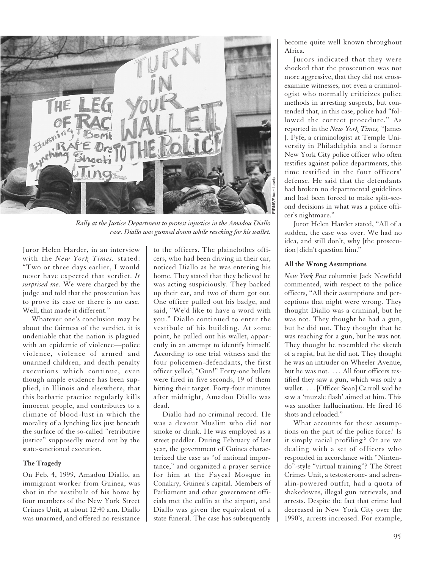

*Rally at the Justice Department to protest injustice in the Amadou Diallo case. Diallo was gunned down while reaching for his wallet.* 

Juror Helen Harder, in an interview with the *New York Times,* stated: "Two or three days earlier, I would never have expected that verdict. *It surprised me.* We were charged by the judge and told that the prosecution has to prove its case or there is no case. Well, that made it different."

Whatever one's conclusion may be about the fairness of the verdict, it is undeniable that the nation is plagued with an epidemic of violence—police violence, violence of armed and unarmed children, and death penalty executions which continue, even though ample evidence has been supplied, in Illinois and elsewhere, that this barbaric practice regularly kills innocent people, and contributes to a climate of blood-lust in which the morality of a lynching lies just beneath the surface of the so-called "retributive justice" supposedly meted out by the state-sanctioned execution.

### **The Tragedy**

On Feb. 4, 1999, Amadou Diallo, an immigrant worker from Guinea, was shot in the vestibule of his home by four members of the New York Street Crimes Unit, at about 12:40 a.m. Diallo was unarmed, and offered no resistance

to the officers. The plainclothes officers, who had been driving in their car, noticed Diallo as he was entering his home. They stated that they believed he was acting suspiciously. They backed up their car, and two of them got out. One officer pulled out his badge, and said, "We'd like to have a word with you." Diallo continued to enter the vestibule of his building. At some point, he pulled out his wallet, apparently in an attempt to identify himself. According to one trial witness and the four policemen-defendants, the first officer yelled, "Gun!" Forty-one bullets were fired in five seconds, 19 of them hitting their target. Forty-four minutes after midnight, Amadou Diallo was dead.

Diallo had no criminal record. He was a devout Muslim who did not smoke or drink. He was employed as a street peddler. During February of last year, the government of Guinea characterized the case as "of national importance," and organized a prayer service for him at the Faycal Mosque in Conakry, Guinea's capital. Members of Parliament and other government officials met the coffin at the airport, and Diallo was given the equivalent of a state funeral. The case has subsequently

become quite well known throughout Africa.

Jurors indicated that they were shocked that the prosecution was not more aggressive, that they did not crossexamine witnesses, not even a criminologist who normally criticizes police methods in arresting suspects, but contended that, in this case, police had "followed the correct procedure." As reported in the *New York Times,* "James J. Fyfe, a criminologist at Temple University in Philadelphia and a former New York City police officer who often testifies against police departments, this time testified in the four officers' defense. He said that the defendants had broken no departmental guidelines and had been forced to make split-second decisions in what was a police officer's nightmare."

Juror Helen Harder stated, "All of a sudden, the case was over. We had no idea, and still don't, why [the prosecution] didn't question him."

# **All the Wrong Assumptions**

*New York Post* columnist Jack Newfield commented, with respect to the police officers, "All their assumptions and perceptions that night were wrong. They thought Diallo was a criminal, but he was not. They thought he had a gun, but he did not. They thought that he was reaching for a gun, but he was not. They thought he resembled the sketch of a rapist, but he did not. They thought he was an intruder on Wheeler Avenue, but he was not. . . . All four officers testified they saw a gun, which was only a wallet. . . . [Officer Sean] Carroll said he saw a 'muzzle flash' aimed at him. This was another hallucination. He fired 16 shots and reloaded."

What accounts for these assumptions on the part of the police force? Is it simply racial profiling? Or are we dealing with a set of officers who responded in accordance with "Nintendo"-style "virtual training"? The Street Crimes Unit, a testosterone- and adrenalin-powered outfit, had a quota of shakedowns, illegal gun retrievals, and arrests. Despite the fact that crime had decreased in New York City over the 1990's, arrests increased. For example,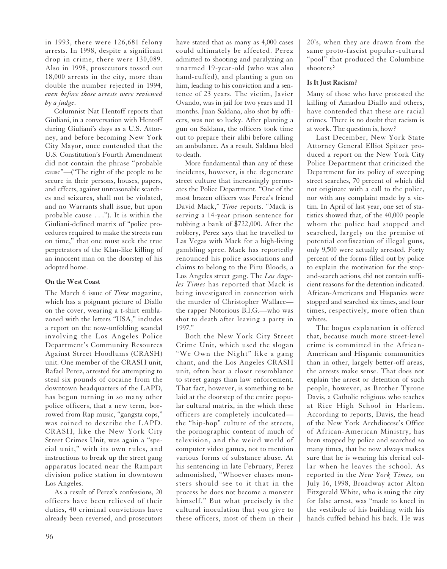in 1993, there were 126,681 felony arrests. In 1998, despite a significant drop in crime, there were 130,089. Also in 1998, prosecutors tossed out 18,000 arrests in the city, more than double the number rejected in 1994, *even before those arrests were reviewed by a judge.*

Columnist Nat Hentoff reports that Giuliani, in a conversation with Hentoff during Giuliani's days as a U.S. Attorney, and before becoming New York City Mayor, once contended that the U.S. Constitution's Fourth Amendment did not contain the phrase "probable cause"—("The right of the people to be secure in their persons, houses, papers, and effects, against unreasonable searches and seizures, shall not be violated, and no Warrants shall issue, but upon probable cause . . ."). It is within the Giuliani-defined matrix of "police procedures required to make the streets run on time," that one must seek the true perpetrators of the Klan-like killing of an innocent man on the doorstep of his adopted home.

## **On the West Coast**

The March 6 issue of *Time* magazine, which has a poignant picture of Diallo on the cover, wearing a t-shirt emblazoned with the letters "USA," includes a report on the now-unfolding scandal involving the Los Angeles Police Department's Community Resources Against Street Hoodlums (CRASH) unit. One member of the CRASH unit, Rafael Perez, arrested for attempting to steal six pounds of cocaine from the downtown headquarters of the LAPD, has begun turning in so many other police officers, that a new term, borrowed from Rap music, "gangsta cops," was coined to describe the LAPD. CRASH, like the New York City Street Crimes Unit, was again a "special unit," with its own rules, and instructions to break up the street gang apparatus located near the Rampart division police station in downtown Los Angeles.

As a result of Perez's confessions, 20 officers have been relieved of their duties, 40 criminal convictions have already been reversed, and prosecutors have stated that as many as 4,000 cases could ultimately be affected. Perez admitted to shooting and paralyzing an unarmed 19-year-old (who was also hand-cuffed), and planting a gun on him, leading to his conviction and a sentence of 23 years. The victim, Javier Ovando, was in jail for two years and 11 months. Juan Saldana, also shot by officers, was not so lucky. After planting a gun on Saldana, the officers took time out to prepare their alibi before calling an ambulance. As a result, Saldana bled to death.

More fundamental than any of these incidents, however, is the degenerate street culture that increasingly permeates the Police Department. "One of the most brazen officers was Perez's friend David Mack," *Time* reports. "Mack is serving a 14-year prison sentence for robbing a bank of \$722,000. After the robbery, Perez says that he travelled to Las Vegas with Mack for a high-living gambling spree. Mack has reportedly renounced his police associations and claims to belong to the Piru Bloods, a Los Angeles street gang. The *Los Angeles Times* has reported that Mack is being investigated in connection with the murder of Christopher Wallace the rapper Notorious B.I.G.—who was shot to death after leaving a party in 1997."

Both the New York City Street Crime Unit, which used the slogan "We Own the Night" like a gang chant, and the Los Angeles CRASH unit, often bear a closer resemblance to street gangs than law enforcement. That fact, however, is something to be laid at the doorstep of the entire popular cultural matrix, in the which these officers are completely inculcated the "hip-hop" culture of the streets, the pornographic content of much of television, and the weird world of computer video games, not to mention various forms of substance abuse. At his sentencing in late February, Perez admonished, "Whoever chases monsters should see to it that in the process he does not become a monster himself." But what precisely is the cultural inoculation that you give to these officers, most of them in their

20's, when they are drawn from the same proto-fascist popular-cultural "pool" that produced the Columbine shooters?

# **Is It Just Racism?**

Many of those who have protested the killing of Amadou Diallo and others, have contended that these are racial crimes. There is no doubt that racism is at work. The question is, how?

Last December, New York State Attorney General Elliot Spitzer produced a report on the New York City Police Department that criticized the Department for its policy of sweeping street searches, 70 percent of which did not originate with a call to the police, nor with any complaint made by a victim. In April of last year, one set of statistics showed that, of the 40,000 people whom the police had stopped and searched, largely on the premise of potential confiscation of illegal guns, only 9,500 were actually arrested. Forty percent of the forms filled out by police to explain the motivation for the stopand-search actions, did not contain sufficient reasons for the detention indicated. African-Americans and Hispanics were stopped and searched six times, and four times, respectively, more often than whites.

The bogus explanation is offered that, because much more street-level crime is committed in the African-American and Hispanic communities than in other, largely better-off areas, the arrests make sense. That does not explain the arrest or detention of such people, however, as Brother Tyrone Davis, a Catholic religious who teaches at Rice High School in Harlem. According to reports, Davis, the head of the New York Archdiocese's Office of African-American Ministry, has been stopped by police and searched so many times, that he now always makes sure that he is wearing his clerical collar when he leaves the school. As reported in the *New York Times,* on July 16, 1998, Broadway actor Alton Fitzgerald White, who is suing the city for false arrest, was "made to kneel in the vestibule of his building with his hands cuffed behind his back. He was